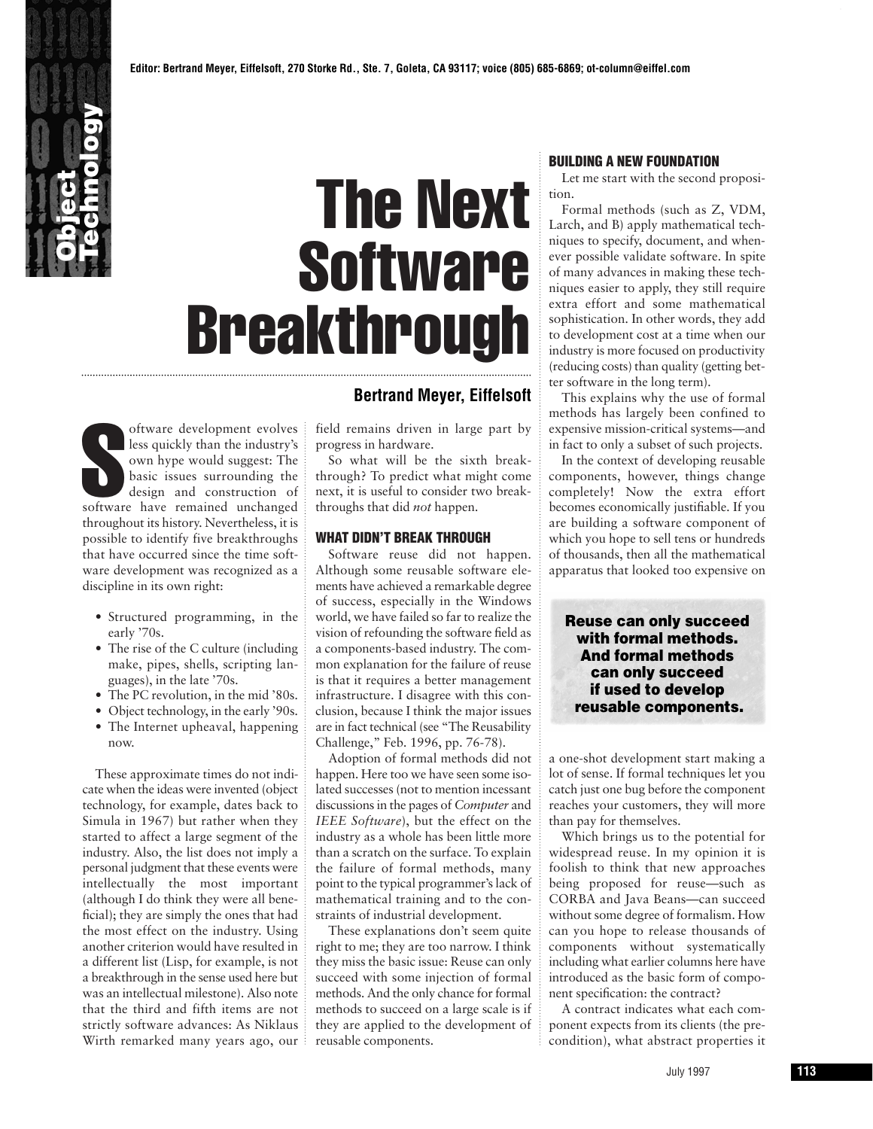

## The Next **Software Breakthrough**

oftware development evolves<br>less quickly than the industry's<br>own hype would suggest: The<br>basic issues surrounding the<br>design and construction of<br>software have remained unchanged oftware development evolves less quickly than the industry's own hype would suggest: The basic issues surrounding the design and construction of throughout its history. Nevertheless, it is possible to identify five breakthroughs that have occurred since the time software development was recognized as a discipline in its own right:

- Structured programming, in the early '70s.
- The rise of the C culture (including make, pipes, shells, scripting languages), in the late '70s.
- The PC revolution, in the mid '80s.
- Object technology, in the early '90s.
- The Internet upheaval, happening now.

These approximate times do not indicate when the ideas were invented (object technology, for example, dates back to Simula in 1967) but rather when they started to affect a large segment of the industry. Also, the list does not imply a personal judgment that these events were intellectually the most important (although I do think they were all beneficial); they are simply the ones that had the most effect on the industry. Using another criterion would have resulted in a different list (Lisp, for example, is not a breakthrough in the sense used here but was an intellectual milestone). Also note that the third and fifth items are not strictly software advances: As Niklaus Wirth remarked many years ago, our

## **Bertrand Meyer, Eiffelsoft**

field remains driven in large part by progress in hardware.

So what will be the sixth breakthrough? To predict what might come next, it is useful to consider two breakthroughs that did *not* happen.

## **WHAT DIDN'T BREAK THROUGH**

Software reuse did not happen. Although some reusable software elements have achieved a remarkable degree of success, especially in the Windows world, we have failed so far to realize the vision of refounding the software field as a components-based industry. The common explanation for the failure of reuse is that it requires a better management infrastructure. I disagree with this conclusion, because I think the major issues are in fact technical (see "The Reusability Challenge," Feb. 1996, pp. 76-78).

Adoption of formal methods did not happen. Here too we have seen some isolated successes (not to mention incessant discussions in the pages of *Computer* and *IEEE Software*), but the effect on the industry as a whole has been little more than a scratch on the surface. To explain the failure of formal methods, many point to the typical programmer's lack of mathematical training and to the constraints of industrial development.

These explanations don't seem quite right to me; they are too narrow. I think they miss the basic issue: Reuse can only succeed with some injection of formal methods. And the only chance for formal methods to succeed on a large scale is if they are applied to the development of reusable components.

## **BUILDING A NEW FOUNDATION**

Let me start with the second proposition.

Formal methods (such as Z, VDM, Larch, and B) apply mathematical techniques to specify, document, and whenever possible validate software. In spite of many advances in making these techniques easier to apply, they still require extra effort and some mathematical sophistication. In other words, they add to development cost at a time when our industry is more focused on productivity (reducing costs) than quality (getting better software in the long term).

This explains why the use of formal methods has largely been confined to expensive mission-critical systems—and in fact to only a subset of such projects.

In the context of developing reusable components, however, things change completely! Now the extra effort becomes economically justifiable. If you are building a software component of which you hope to sell tens or hundreds of thousands, then all the mathematical apparatus that looked too expensive on

**Reuse can only succeed with formal methods. And formal methods can only succeed if used to develop reusable components.**

a one-shot development start making a lot of sense. If formal techniques let you catch just one bug before the component reaches your customers, they will more than pay for themselves.

Which brings us to the potential for widespread reuse. In my opinion it is foolish to think that new approaches being proposed for reuse—such as CORBA and Java Beans—can succeed without some degree of formalism. How can you hope to release thousands of components without systematically including what earlier columns here have introduced as the basic form of component specification: the contract?

A contract indicates what each component expects from its clients (the precondition), what abstract properties it